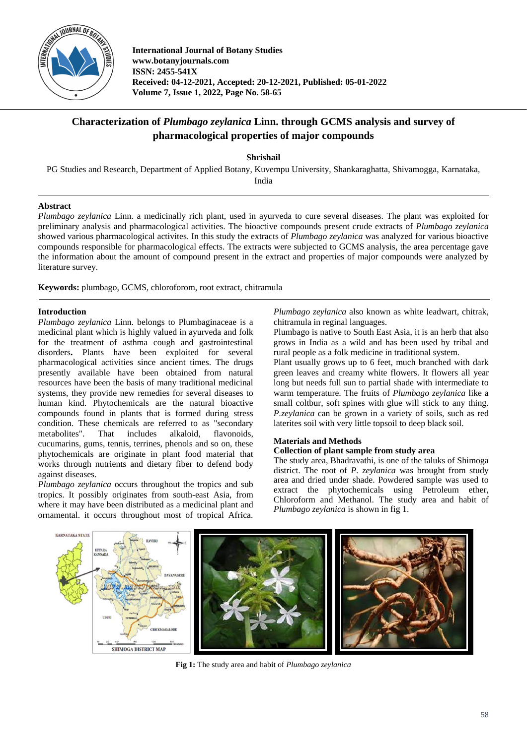

**International Journal of Botany Studies www.botanyjournals.com ISSN: 2455-541X Received: 04-12-2021, Accepted: 20-12-2021, Published: 05-01-2022 Volume 7, Issue 1, 2022, Page No. 58-65**

# **Characterization of** *Plumbago zeylanica* **Linn. through GCMS analysis and survey of pharmacological properties of major compounds**

**Shrishail**

PG Studies and Research, Department of Applied Botany, Kuvempu University, Shankaraghatta, Shivamogga, Karnataka, India

## **Abstract**

*Plumbago zeylanica* Linn. a medicinally rich plant, used in ayurveda to cure several diseases. The plant was exploited for preliminary analysis and pharmacological activities. The bioactive compounds present crude extracts of *Plumbago zeylanica* showed various pharmacological activites. In this study the extracts of *Plumbago zeylanica* was analyzed for various bioactive compounds responsible for pharmacological effects. The extracts were subjected to GCMS analysis, the area percentage gave the information about the amount of compound present in the extract and properties of major compounds were analyzed by literature survey.

**Keywords:** plumbago, GCMS, chloroforom, root extract, chitramula

#### **Introduction**

*Plumbago zeylanica* Linn. belongs to Plumbaginaceae is a medicinal plant which is highly valued in ayurveda and folk for the treatment of asthma cough and gastrointestinal disorders**.** Plants have been exploited for several pharmacological activities since ancient times. The drugs presently available have been obtained from natural resources have been the basis of many traditional medicinal systems, they provide new remedies for several diseases to human kind. Phytochemicals are the natural bioactive compounds found in plants that is formed during stress condition. These chemicals are referred to as "secondary metabolites". That includes alkaloid, flavonoids, cucumarins, gums, tennis, terrines, phenols and so on, these phytochemicals are originate in plant food material that works through nutrients and dietary fiber to defend body against diseases.

*Plumbago zeylanica* occurs throughout the tropics and sub tropics. It possibly originates from south-east Asia, from where it may have been distributed as a medicinal plant and ornamental. it occurs throughout most of tropical Africa.

*Plumbago zeylanica* also known as white leadwart, chitrak, chitramula in reginal languages.

Plumbago is native to South East Asia, it is an herb that also grows in India as a wild and has been used by tribal and rural people as a folk medicine in traditional system.

Plant usually grows up to 6 feet, much branched with dark green leaves and creamy white flowers. It flowers all year long but needs full sun to partial shade with intermediate to warm temperature. The fruits of *Plumbago zeylanica* like a small coltbur, soft spines with glue will stick to any thing. *P.zeylanica* can be grown in a variety of soils, such as red laterites soil with very little topsoil to deep black soil.

## **Materials and Methods**

## **Collection of plant sample from study area**

The study area, Bhadravathi, is one of the taluks of Shimoga district. The root of *P. zeylanica* was brought from study area and dried under shade. Powdered sample was used to extract the phytochemicals using Petroleum ether, Chloroform and Methanol. The study area and habit of *Plumbago zeylanica* is shown in fig 1.



**Fig 1:** The study area and habit of *Plumbago zeylanica*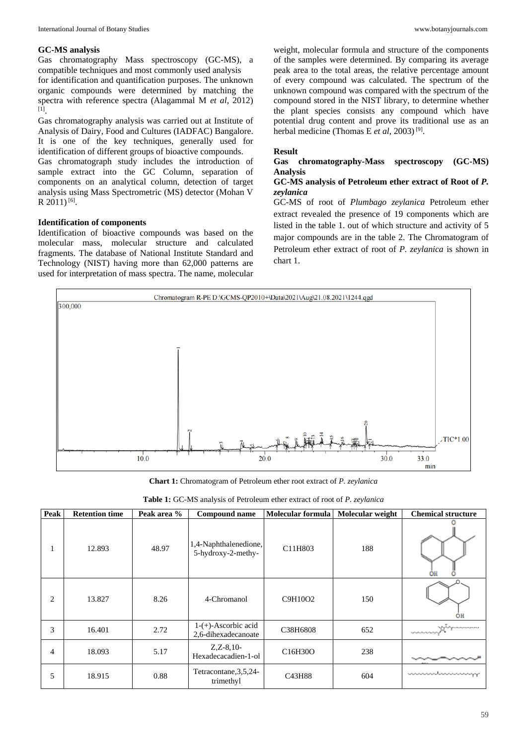#### **GC-MS analysis**

Gas chromatography Mass spectroscopy (GC-MS), a compatible techniques and most commonly used analysis for identification and quantification purposes. The unknown organic compounds were determined by matching the spectra with reference spectra (Alagammal M *et al*, 2012) [1] .

Gas chromatography analysis was carried out at Institute of Analysis of Dairy, Food and Cultures (IADFAC) Bangalore. It is one of the key techniques, generally used for identification of different groups of bioactive compounds. Gas chromatograph study includes the introduction of sample extract into the GC Column, separation of components on an analytical column, detection of target analysis using Mass Spectrometric (MS) detector (Mohan V R 2011)<sup>[6]</sup>.

#### **Identification of components**

Identification of bioactive compounds was based on the molecular mass, molecular structure and calculated fragments. The database of National Institute Standard and Technology (NIST) having more than 62,000 patterns are used for interpretation of mass spectra. The name, molecular

weight, molecular formula and structure of the components of the samples were determined. By comparing its average peak area to the total areas, the relative percentage amount of every compound was calculated. The spectrum of the unknown compound was compared with the spectrum of the compound stored in the NIST library, to determine whether the plant species consists any compound which have potential drug content and prove its traditional use as an herbal medicine (Thomas E *et al*, 2003)<sup>[9]</sup>.

#### **Result**

#### **Gas chromatography-Mass spectroscopy (GC-MS) Analysis**

#### **GC-MS analysis of Petroleum ether extract of Root of** *P. zeylanica*

GC-MS of root of *Plumbago zeylanica* Petroleum ether extract revealed the presence of 19 components which are listed in the table 1. out of which structure and activity of 5 major compounds are in the table 2. The Chromatogram of Petroleum ether extract of root of *P. zeylanica* is shown in chart 1.



**Chart 1:** Chromatogram of Petroleum ether root extract of *P. zeylanica*

|  |  |  |  | Table 1: GC-MS analysis of Petroleum ether extract of root of P. zeylanica |  |  |  |
|--|--|--|--|----------------------------------------------------------------------------|--|--|--|
|--|--|--|--|----------------------------------------------------------------------------|--|--|--|

| Peak           | <b>Retention time</b> | Peak area % | Compound name                                 | Molecular formula                 | Molecular weight | <b>Chemical structure</b>                                       |
|----------------|-----------------------|-------------|-----------------------------------------------|-----------------------------------|------------------|-----------------------------------------------------------------|
|                | 12.893                | 48.97       | 1,4-Naphthalenedione,<br>5-hydroxy-2-methy-   | C11H803                           | 188              | OН                                                              |
| $\overline{c}$ | 13.827                | 8.26        | 4-Chromanol                                   | C9H10O2                           | 150              | ÓH                                                              |
| 3              | 16.401                | 2.72        | $1-(+)$ -Ascorbic acid<br>2,6-dihexadecanoate | C38H6808                          | 652              | a facilitat quando compositore<br>ing the Payment of Contractor |
| 4              | 18.093                | 5.17        | $Z, Z-8, 10-$<br>Hexadecacadien-1-ol          | C <sub>16</sub> H <sub>30</sub> O | 238              |                                                                 |
| 5              | 18.915                | 0.88        | Tetracontane, 3, 5, 24-<br>trimethyl          | C43H88                            | 604              | <u>unan masalan saman ma</u> y                                  |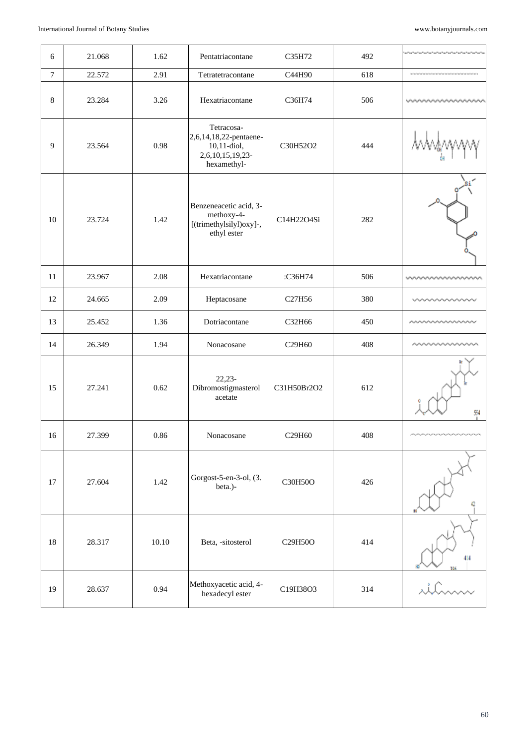| 6      | 21.068 | 1.62  | Pentatriacontane                                                                       | C35H72      | 492 | والمسترجل والمسترجين والمسترجين والمسترجين والمسترجين والمسترجين                                                   |
|--------|--------|-------|----------------------------------------------------------------------------------------|-------------|-----|--------------------------------------------------------------------------------------------------------------------|
| $\tau$ | 22.572 | 2.91  | Tetratetracontane                                                                      | C44H90      | 618 | .<br>A construction de la construction de la construction de la construction de la construction de la construction |
| 8      | 23.284 | 3.26  | Hexatriacontane                                                                        | C36H74      | 506 |                                                                                                                    |
| 9      | 23.564 | 0.98  | Tetracosa-<br>2,6,14,18,22-pentaene-<br>10,11-diol,<br>2,6,10,15,19,23-<br>hexamethyl- | C30H52O2    | 444 |                                                                                                                    |
| 10     | 23.724 | 1.42  | Benzeneacetic acid, 3-<br>methoxy-4-<br>[(trimethylsilyl)oxy]-,<br>ethyl ester         | C14H22O4Si  | 282 |                                                                                                                    |
| 11     | 23.967 | 2.08  | Hexatriacontane                                                                        | :C36H74     | 506 | wwwwwwww                                                                                                           |
| 12     | 24.665 | 2.09  | Heptacosane                                                                            | C27H56      | 380 |                                                                                                                    |
| 13     | 25.452 | 1.36  | Dotriacontane                                                                          | C32H66      | 450 |                                                                                                                    |
| 14     | 26.349 | 1.94  | Nonacosane                                                                             | C29H60      | 408 |                                                                                                                    |
| 15     | 27.241 | 0.62  | $22,23-$<br>Dibromostigmasterol<br>acetate                                             | C31H50Br2O2 | 612 | 54                                                                                                                 |
| 16     | 27.399 | 0.86  | Nonacosane                                                                             | C29H60      | 408 |                                                                                                                    |
| 17     | 27.604 | 1.42  | Gorgost-5-en-3-ol, (3.<br>beta.)-                                                      | C30H50O     | 426 | o                                                                                                                  |
| 18     | 28.317 | 10.10 | Beta, -sitosterol                                                                      | C29H50O     | 414 | 414                                                                                                                |
| 19     | 28.637 | 0.94  | Methoxyacetic acid, 4-<br>hexadecyl ester                                              | C19H38O3    | 314 | illeran                                                                                                            |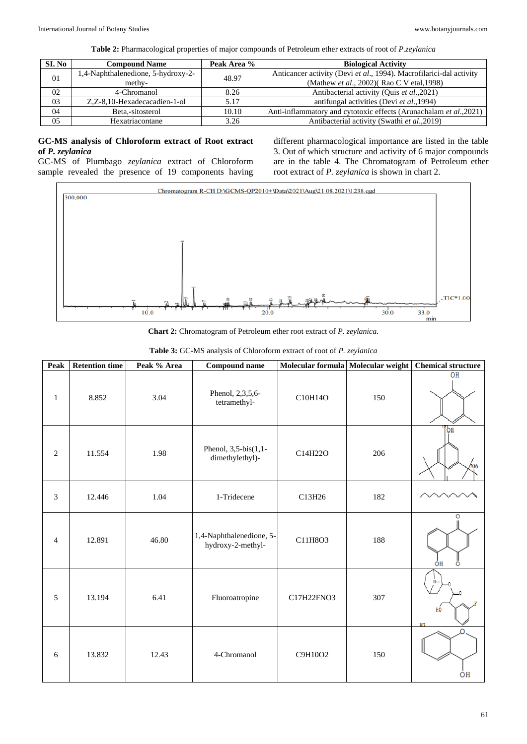**Table 2:** Pharmacological properties of major compounds of Petroleum ether extracts of root of *P.zeylanica*

| SI. No | <b>Compound Name</b>               | Peak Area % | <b>Biological Activity</b>                                          |
|--------|------------------------------------|-------------|---------------------------------------------------------------------|
| 01     | 1,4-Naphthalenedione, 5-hydroxy-2- | 48.97       | Anticancer activity (Devi et al., 1994). Macrofilarici-dal activity |
|        | methy-                             |             | (Mathew <i>et al.</i> , 2002)(Rao C V etal, 1998)                   |
| 02     | 4-Chromanol                        | 8.26        | Antibacterial activity (Quis et al., 2021)                          |
| 03     | Z,Z-8,10-Hexadecacadien-1-ol       | 5.17        | antifungal activities (Devi et al., 1994)                           |
| 04     | Beta.-sitosterol                   | 10.10       | Anti-inflammatory and cytotoxic effects (Arunachalam et al., 2021)  |
| 05     | Hexatriacontane                    | 3.26        | Antibacterial activity (Swathi et al., 2019)                        |

#### **GC-MS analysis of Chloroform extract of Root extract of** *P. zeylanica*

GC-MS of Plumbago *zeylanica* extract of Chloroform sample revealed the presence of 19 components having

different pharmacological importance are listed in the table 3. Out of which structure and activity of 6 major compounds are in the table 4. The Chromatogram of Petroleum ether root extract of *P. zeylanica* is shown in chart 2.



**Chart 2:** Chromatogram of Petroleum ether root extract of *P. zeylanica.*

|                |                       |             | Table 3: GC-MS analysis of Chloroform extract of root of P. zeylanica |                                    |     |                           |
|----------------|-----------------------|-------------|-----------------------------------------------------------------------|------------------------------------|-----|---------------------------|
| Peak           | <b>Retention time</b> | Peak % Area | <b>Compound name</b>                                                  | Molecular formula Molecular weight |     | <b>Chemical structure</b> |
| $\mathbf{1}$   | 8.852                 | 3.04        | Phenol, 2,3,5,6-<br>tetramethyl-                                      | C10H14O                            | 150 | OH                        |
| $\overline{2}$ | 11.554                | 1.98        | Phenol, $3,5-bis(1,1-$<br>dimethylethyl)-                             | C14H22O                            | 206 | 'nо<br>206                |
| 3              | 12.446                | 1.04        | 1-Tridecene                                                           | C13H26                             | 182 |                           |
| $\overline{4}$ | 12.891                | 46.80       | 1,4-Naphthalenedione, 5-<br>hydroxy-2-methyl-                         | C11H8O3                            | 188 | ٥<br>ÓН<br>O              |
| 5              | 13.194                | 6.41        | Fluoroatropine                                                        | C17H22FNO3                         | 307 | HO<br>307                 |
| 6              | 13.832                | 12.43       | 4-Chromanol                                                           | C9H10O2                            | 150 | $\Omega$<br>OH            |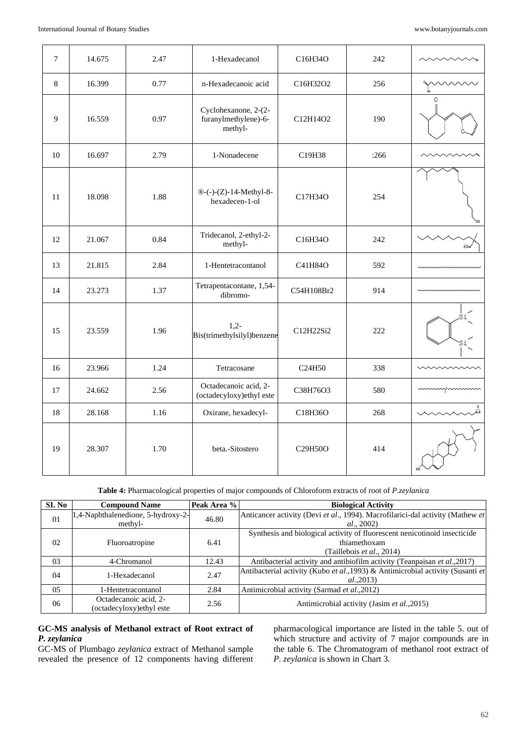| $\tau$ | 14.675 | 2.47 | 1-Hexadecanol                                           | C16H34O                           | 242  |     |
|--------|--------|------|---------------------------------------------------------|-----------------------------------|------|-----|
| 8      | 16.399 | 0.77 | n-Hexadecanoic acid                                     | C16H32O2                          | 256  |     |
| 9      | 16.559 | 0.97 | Cyclohexanone, 2-(2-<br>furanylmethylene)-6-<br>methyl- | C12H14O2                          | 190  | ٥   |
| 10     | 16.697 | 2.79 | 1-Nonadecene                                            | C19H38                            | :266 |     |
| 11     | 18.098 | 1.88 | ®-(-)-(Z)-14-Methyl-8-<br>hexadecen-1-ol                | C17H34O                           | 254  |     |
| 12     | 21.067 | 0.84 | Tridecanol, 2-ethyl-2-<br>methyl-                       | C16H34O                           | 242  | HÔ. |
| 13     | 21.815 | 2.84 | 1-Hentetracontanol                                      | C41H84O                           | 592  |     |
| 14     | 23.273 | 1.37 | Tetrapentacontane, 1,54-<br>dibromo-                    | C54H108Br2                        | 914  |     |
| 15     | 23.559 | 1.96 | $1,2-$<br>Bis(trimethylsilyl)benzene                    | C12H22Si2                         | 222  |     |
| 16     | 23.966 | 1.24 | Tetracosane                                             | C24H50                            | 338  |     |
| 17     | 24.662 | 2.56 | Octadecanoic acid, 2-<br>(octadecyloxy)ethyl este       | C38H76O3                          | 580  |     |
| 18     | 28.168 | 1.16 | Oxirane, hexadecyl-                                     | C18H36O                           | 268  |     |
| 19     | 28.307 | 1.70 | beta.-Sitostero                                         | C <sub>29</sub> H <sub>50</sub> O | 414  |     |

**Table 4:** Pharmacological properties of major compounds of Chloroform extracts of root of *P.zeylanica*

| SI. No         | <b>Compound Name</b>                               | Peak Area % | <b>Biological Activity</b>                                                                    |
|----------------|----------------------------------------------------|-------------|-----------------------------------------------------------------------------------------------|
| 0 <sub>1</sub> | 1,4-Naphthalenedione, 5-hydroxy-2-<br>methyl-      | 46.80       | Anticancer activity (Devi et al., 1994). Macrofilarici-dal activity (Mathew et                |
|                |                                                    |             | al., 2002)                                                                                    |
| 02             | Fluoroatropine                                     | 6.41        | Synthesis and biological activity of fluorescent nenicotinoid insecticide<br>thiamethoxam     |
|                |                                                    |             | (Taillebois et al., 2014)                                                                     |
| 03             | 4-Chromanol                                        | 12.43       | Antibacterial activity and antibiofilm activity (Teanpaisan et al., 2017)                     |
| 04             | 1-Hexadecanol                                      | 2.47        | Antibacterial activity (Kubo et al., 1993) & Antimicrobial activity (Susanti et<br>al., 2013) |
| 05             | 1-Hentetracontanol                                 | 2.84        | Antimicrobial activity (Sarmad et al., 2012)                                                  |
| 06             | Octadecanoic acid, 2-<br>(octadecyloxy) ethyl este | 2.56        | Antimicrobial activity (Jasim et al., 2015)                                                   |

## **GC-MS analysis of Methanol extract of Root extract of**  *P. zeylanica*

GC-MS of Plumbago *zeylanica* extract of Methanol sample revealed the presence of 12 components having different pharmacological importance are listed in the table 5. out of which structure and activity of 7 major compounds are in the table 6. The Chromatogram of methanol root extract of *P. zeylanica* is shown in Chart 3.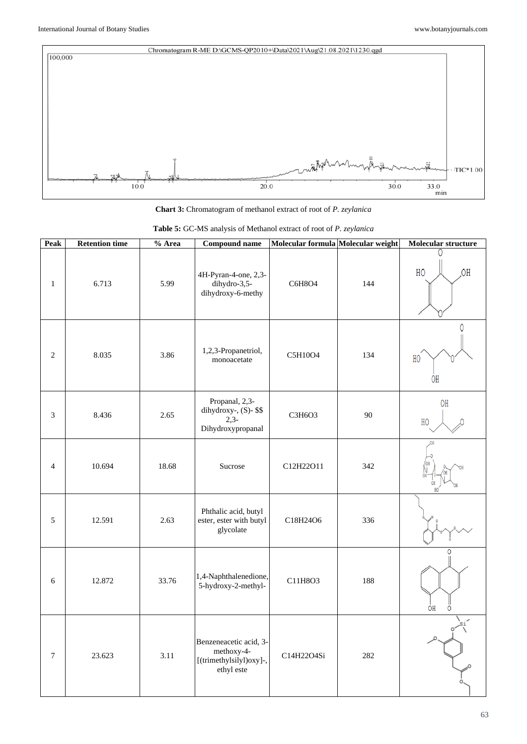

**Chart 3:** Chromatogram of methanol extract of root of *P. zeylanica*

| Peak                        | <b>Retention time</b> | % Area | Molecular formula Molecular weight<br><b>Compound name</b>                    |            | Molecular structure |               |
|-----------------------------|-----------------------|--------|-------------------------------------------------------------------------------|------------|---------------------|---------------|
| $\mathbf{1}$                | 6.713                 | 5.99   | 4H-Pyran-4-one, 2,3-<br>dihydro-3,5-<br>dihydroxy-6-methy                     | C6H8O4     | 144                 | HO<br>OH      |
| $\mathbf{2}$                | 8.035                 | 3.86   | 1,2,3-Propanetriol,<br>monoacetate                                            | C5H10O4    | 134                 | Λ<br>HO<br>ΟH |
| $\ensuremath{\mathfrak{Z}}$ | 8.436                 | 2.65   | Propanal, 2,3-<br>dihydroxy-, (S)- \$\$<br>$2,3-$<br>Dihydroxypropanal        | C3H6O3     | 90                  | OH<br>HO      |
| $\overline{4}$              | 10.694                | 18.68  | Sucrose                                                                       | C12H22O11  | 342                 |               |
| 5                           | 12.591                | 2.63   | Phthalic acid, butyl<br>ester, ester with butyl<br>glycolate                  | C18H24O6   | 336                 |               |
| 6                           | 12.872                | 33.76  | 1,4-Naphthalenedione,<br>5-hydroxy-2-methyl-                                  | C11H8O3    | 188                 | 0<br>ÓН<br>Ω  |
| $\boldsymbol{7}$            | 23.623                | 3.11   | Benzeneacetic acid, 3-<br>methoxy-4-<br>[(trimethylsilyl)oxy]-,<br>ethyl este | C14H22O4Si | 282                 |               |

|  | Table 5: GC-MS analysis of Methanol extract of root of P. zeylanica |  |  |  |  |  |
|--|---------------------------------------------------------------------|--|--|--|--|--|
|--|---------------------------------------------------------------------|--|--|--|--|--|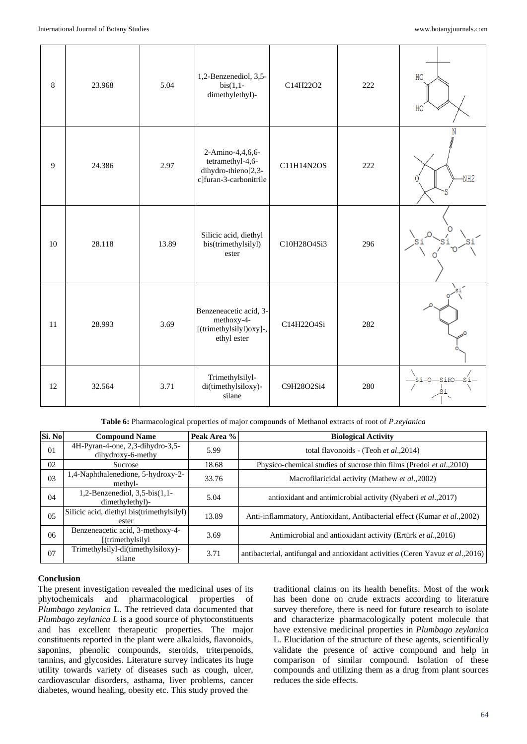| $\,8\,$ | 23.968 | 5.04  | 1,2-Benzenediol, 3,5-<br>$bis(1,1-$<br>dimethylethyl)-                                | C14H22O2    | 222 | HO<br>HO       |
|---------|--------|-------|---------------------------------------------------------------------------------------|-------------|-----|----------------|
| 9       | 24.386 | 2.97  | 2-Amino-4,4,6,6-<br>tetramethyl-4,6-<br>dihydro-thieno[2,3-<br>c]furan-3-carbonitrile | C11H14N2OS  | 222 | N<br>$-NH2$    |
| 10      | 28.118 | 13.89 | Silicic acid, diethyl<br>bis(trimethylsilyl)<br>ester                                 | C10H28O4Si3 | 296 |                |
| 11      | 28.993 | 3.69  | Benzeneacetic acid, 3-<br>methoxy-4-<br>[(trimethylsilyl)oxy]-,<br>ethyl ester        | C14H22O4Si  | 282 |                |
| 12      | 32.564 | 3.71  | Trimethylsilyl-<br>di(timethylsiloxy)-<br>silane                                      | C9H28O2Si4  | 280 | -SiFC<br>Si-O- |

**Table 6:** Pharmacological properties of major compounds of Methanol extracts of root of *P.zeylanica*

| Si. No | <b>Compound Name</b>                                    | Peak Area % | <b>Biological Activity</b>                                                      |
|--------|---------------------------------------------------------|-------------|---------------------------------------------------------------------------------|
| 01     | 4H-Pyran-4-one, 2,3-dihydro-3,5-<br>dihydroxy-6-methy   | 5.99        | total flavonoids - (Teoh et al., 2014)                                          |
| 02     | Sucrose                                                 | 18.68       | Physico-chemical studies of sucrose thin films (Predoi et al., 2010)            |
| 03     | 1,4-Naphthalenedione, 5-hydroxy-2-<br>methyl-           | 33.76       | Macrofilaricidal activity (Mathew et al., 2002)                                 |
| 04     | 1,2-Benzenediol, $3,5$ -bis $(1,1$ -<br>dimethylethyl)- | 5.04        | antioxidant and antimicrobial activity (Nyaberi et al., 2017)                   |
| 0.5    | Silicic acid, diethyl bis(trimethylsilyl)<br>ester      | 13.89       | Anti-inflammatory, Antioxidant, Antibacterial effect (Kumar et al., 2002)       |
| 06     | Benzeneacetic acid, 3-methoxy-4-<br>[(trimethylsilyl]   | 3.69        | Antimicrobial and antioxidant activity (Ertürk et al., 2016)                    |
| 07     | Trimethylsilyl-di(timethylsiloxy)-<br>silane            | 3.71        | antibacterial, antifungal and antioxidant activities (Ceren Yavuz et al., 2016) |

## **Conclusion**

The present investigation revealed the medicinal uses of its phytochemicals and pharmacological properties of *Plumbago zeylanica* L. The retrieved data documented that *Plumbago zeylanica L* is a good source of phytoconstituents and has excellent therapeutic properties. The major constituents reported in the plant were alkaloids, flavonoids, saponins, phenolic compounds, steroids, triterpenoids, tannins, and glycosides. Literature survey indicates its huge utility towards variety of diseases such as cough, ulcer, cardiovascular disorders, asthama, liver problems, cancer diabetes, wound healing, obesity etc. This study proved the

traditional claims on its health benefits. Most of the work has been done on crude extracts according to literature survey therefore, there is need for future research to isolate and characterize pharmacologically potent molecule that have extensive medicinal properties in *Plumbago zeylanica* L. Elucidation of the structure of these agents, scientifically validate the presence of active compound and help in comparison of similar compound. Isolation of these compounds and utilizing them as a drug from plant sources reduces the side effects.